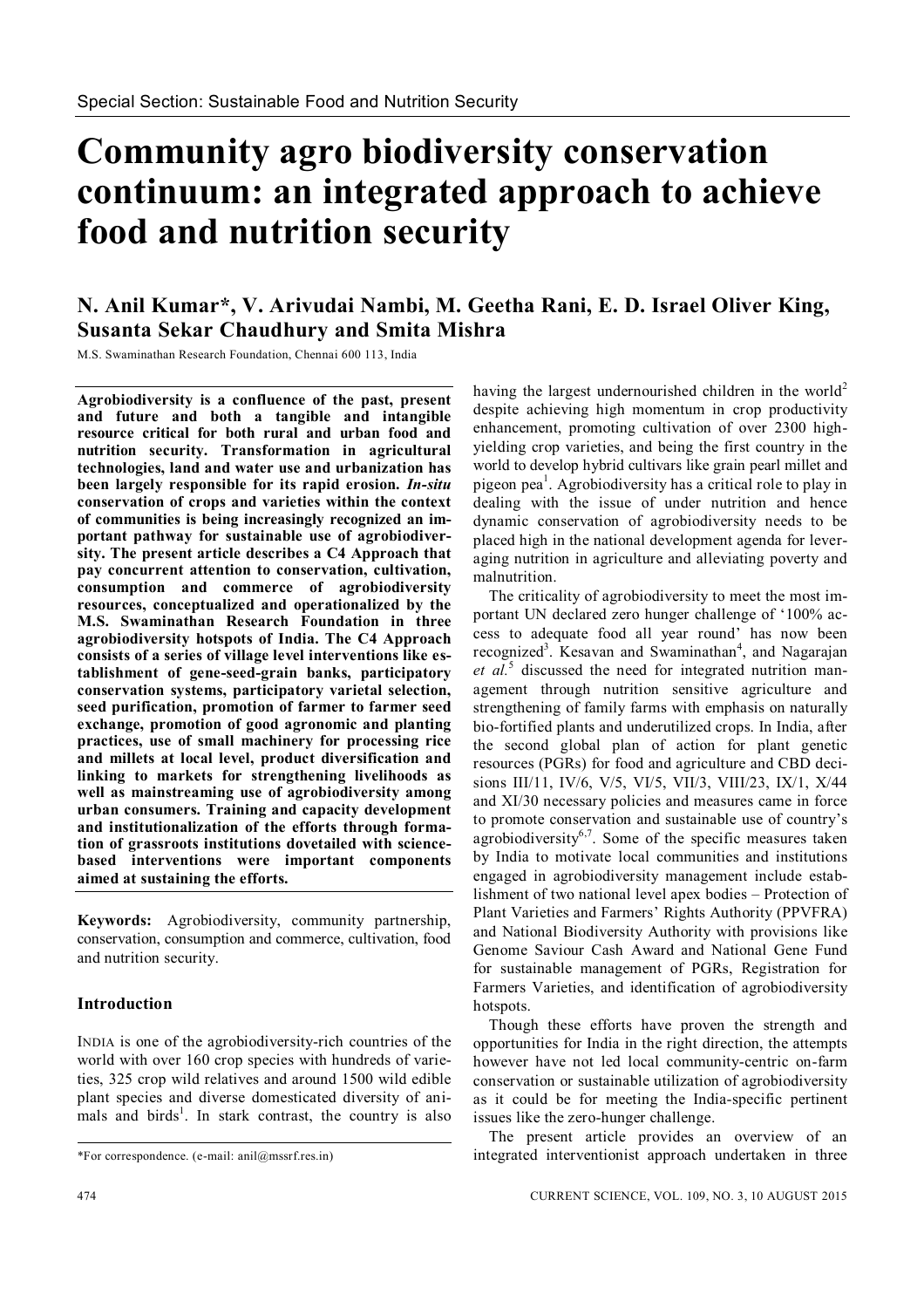# **Community agro biodiversity conservation continuum: an integrated approach to achieve food and nutrition security**

# **N. Anil Kumar\*, V. Arivudai Nambi, M. Geetha Rani, E. D. Israel Oliver King, Susanta Sekar Chaudhury and Smita Mishra**

M.S. Swaminathan Research Foundation, Chennai 600 113, India

**Agrobiodiversity is a confluence of the past, present and future and both a tangible and intangible resource critical for both rural and urban food and nutrition security. Transformation in agricultural technologies, land and water use and urbanization has been largely responsible for its rapid erosion.** *In-situ* **conservation of crops and varieties within the context of communities is being increasingly recognized an important pathway for sustainable use of agrobiodiversity. The present article describes a C4 Approach that pay concurrent attention to conservation, cultivation, consumption and commerce of agrobiodiversity resources, conceptualized and operationalized by the M.S. Swaminathan Research Foundation in three agrobiodiversity hotspots of India. The C4 Approach consists of a series of village level interventions like establishment of gene-seed-grain banks, participatory conservation systems, participatory varietal selection, seed purification, promotion of farmer to farmer seed exchange, promotion of good agronomic and planting practices, use of small machinery for processing rice and millets at local level, product diversification and linking to markets for strengthening livelihoods as well as mainstreaming use of agrobiodiversity among urban consumers. Training and capacity development and institutionalization of the efforts through formation of grassroots institutions dovetailed with sciencebased interventions were important components aimed at sustaining the efforts.**

**Keywords:** Agrobiodiversity, community partnership, conservation, consumption and commerce, cultivation, food and nutrition security.

# **Introduction**

INDIA is one of the agrobiodiversity-rich countries of the world with over 160 crop species with hundreds of varieties, 325 crop wild relatives and around 1500 wild edible plant species and diverse domesticated diversity of animals and birds<sup>1</sup>. In stark contrast, the country is also having the largest undernourished children in the world<sup>2</sup> despite achieving high momentum in crop productivity enhancement, promoting cultivation of over 2300 highyielding crop varieties, and being the first country in the world to develop hybrid cultivars like grain pearl millet and pigeon pea<sup>1</sup>. Agrobiodiversity has a critical role to play in dealing with the issue of under nutrition and hence dynamic conservation of agrobiodiversity needs to be placed high in the national development agenda for leveraging nutrition in agriculture and alleviating poverty and malnutrition.

The criticality of agrobiodiversity to meet the most important UN declared zero hunger challenge of '100% access to adequate food all year round' has now been recognized<sup>3</sup>. Kesavan and Swaminathan<sup>4</sup>, and Nagarajan et al.<sup>5</sup> discussed the need for integrated nutrition management through nutrition sensitive agriculture and strengthening of family farms with emphasis on naturally bio-fortified plants and underutilized crops. In India, after the second global plan of action for plant genetic resources (PGRs) for food and agriculture and CBD decisions III/11, IV/6, V/5, VI/5, VII/3, VIII/23, IX/1, X/44 and XI/30 necessary policies and measures came in force to promote conservation and sustainable use of country's agrobiodiversity<sup>6,7</sup>. Some of the specific measures taken by India to motivate local communities and institutions engaged in agrobiodiversity management include establishment of two national level apex bodies – Protection of Plant Varieties and Farmers' Rights Authority (PPVFRA) and National Biodiversity Authority with provisions like Genome Saviour Cash Award and National Gene Fund for sustainable management of PGRs, Registration for Farmers Varieties, and identification of agrobiodiversity hotspots.

Though these efforts have proven the strength and opportunities for India in the right direction, the attempts however have not led local community-centric on-farm conservation or sustainable utilization of agrobiodiversity as it could be for meeting the India-specific pertinent issues like the zero-hunger challenge.

The present article provides an overview of an integrated interventionist approach undertaken in three

<sup>\*</sup>For correspondence. (e-mail: anil@mssrf.res.in)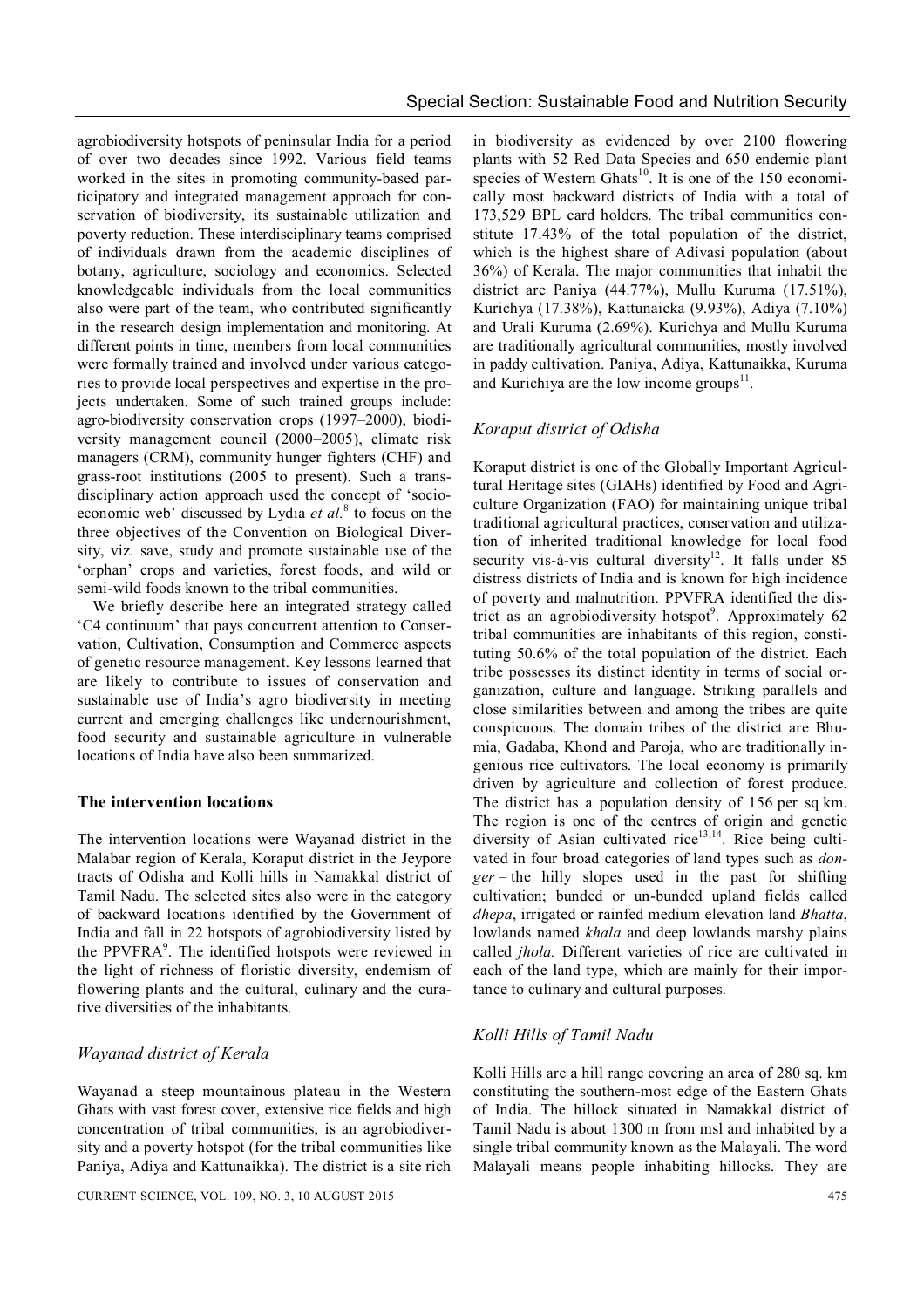agrobiodiversity hotspots of peninsular India for a period of over two decades since 1992. Various field teams worked in the sites in promoting community-based participatory and integrated management approach for conservation of biodiversity, its sustainable utilization and poverty reduction. These interdisciplinary teams comprised of individuals drawn from the academic disciplines of botany, agriculture, sociology and economics. Selected knowledgeable individuals from the local communities also were part of the team, who contributed significantly in the research design implementation and monitoring. At different points in time, members from local communities were formally trained and involved under various categories to provide local perspectives and expertise in the projects undertaken. Some of such trained groups include: agro-biodiversity conservation crops (1997–2000), biodiversity management council (2000–2005), climate risk managers (CRM), community hunger fighters (CHF) and grass-root institutions (2005 to present). Such a transdisciplinary action approach used the concept of 'socioeconomic web' discussed by Lydia *et al.* 8 to focus on the three objectives of the Convention on Biological Diversity, viz. save, study and promote sustainable use of the 'orphan' crops and varieties, forest foods, and wild or semi-wild foods known to the tribal communities.

We briefly describe here an integrated strategy called 'C4 continuum' that pays concurrent attention to Conservation, Cultivation, Consumption and Commerce aspects of genetic resource management. Key lessons learned that are likely to contribute to issues of conservation and sustainable use of India's agro biodiversity in meeting current and emerging challenges like undernourishment, food security and sustainable agriculture in vulnerable locations of India have also been summarized.

#### **The intervention locations**

The intervention locations were Wayanad district in the Malabar region of Kerala, Koraput district in the Jeypore tracts of Odisha and Kolli hills in Namakkal district of Tamil Nadu. The selected sites also were in the category of backward locations identified by the Government of India and fall in 22 hotspots of agrobiodiversity listed by the PPVFRA<sup>9</sup>. The identified hotspots were reviewed in the light of richness of floristic diversity, endemism of flowering plants and the cultural, culinary and the curative diversities of the inhabitants.

# *Wayanad district of Kerala*

Wayanad a steep mountainous plateau in the Western Ghats with vast forest cover, extensive rice fields and high concentration of tribal communities, is an agrobiodiversity and a poverty hotspot (for the tribal communities like Paniya, Adiya and Kattunaikka). The district is a site rich

in biodiversity as evidenced by over 2100 flowering plants with 52 Red Data Species and 650 endemic plant species of Western Ghats<sup>10</sup>. It is one of the 150 economically most backward districts of India with a total of 173,529 BPL card holders. The tribal communities constitute 17.43% of the total population of the district, which is the highest share of Adivasi population (about 36%) of Kerala. The major communities that inhabit the district are Paniya (44.77%), Mullu Kuruma (17.51%), Kurichya (17.38%), Kattunaicka (9.93%), Adiya (7.10%) and Urali Kuruma (2.69%). Kurichya and Mullu Kuruma are traditionally agricultural communities, mostly involved in paddy cultivation. Paniya, Adiya, Kattunaikka, Kuruma and Kurichiya are the low income groups $^{11}$ .

# *Koraput district of Odisha*

Koraput district is one of the Globally Important Agricultural Heritage sites (GIAHs) identified by Food and Agriculture Organization (FAO) for maintaining unique tribal traditional agricultural practices, conservation and utilization of inherited traditional knowledge for local food security vis-à-vis cultural diversity<sup>12</sup>. It falls under 85 distress districts of India and is known for high incidence of poverty and malnutrition. PPVFRA identified the district as an agrobiodiversity hotspot<sup>9</sup>. Approximately 62 tribal communities are inhabitants of this region, constituting 50.6% of the total population of the district. Each tribe possesses its distinct identity in terms of social organization, culture and language. Striking parallels and close similarities between and among the tribes are quite conspicuous. The domain tribes of the district are Bhumia, Gadaba, Khond and Paroja, who are traditionally ingenious rice cultivators. The local economy is primarily driven by agriculture and collection of forest produce. The district has a population density of 156 per sq km. The region is one of the centres of origin and genetic diversity of Asian cultivated rice<sup>13,14</sup>. Rice being cultivated in four broad categories of land types such as *donger* – the hilly slopes used in the past for shifting cultivation; bunded or un-bunded upland fields called *dhepa*, irrigated or rainfed medium elevation land *Bhatta*, lowlands named *khala* and deep lowlands marshy plains called *jhola.* Different varieties of rice are cultivated in each of the land type, which are mainly for their importance to culinary and cultural purposes.

# *Kolli Hills of Tamil Nadu*

Kolli Hills are a hill range covering an area of 280 sq. km constituting the southern-most edge of the Eastern Ghats of India. The hillock situated in Namakkal district of Tamil Nadu is about 1300 m from msl and inhabited by a single tribal community known as the Malayali. The word Malayali means people inhabiting hillocks. They are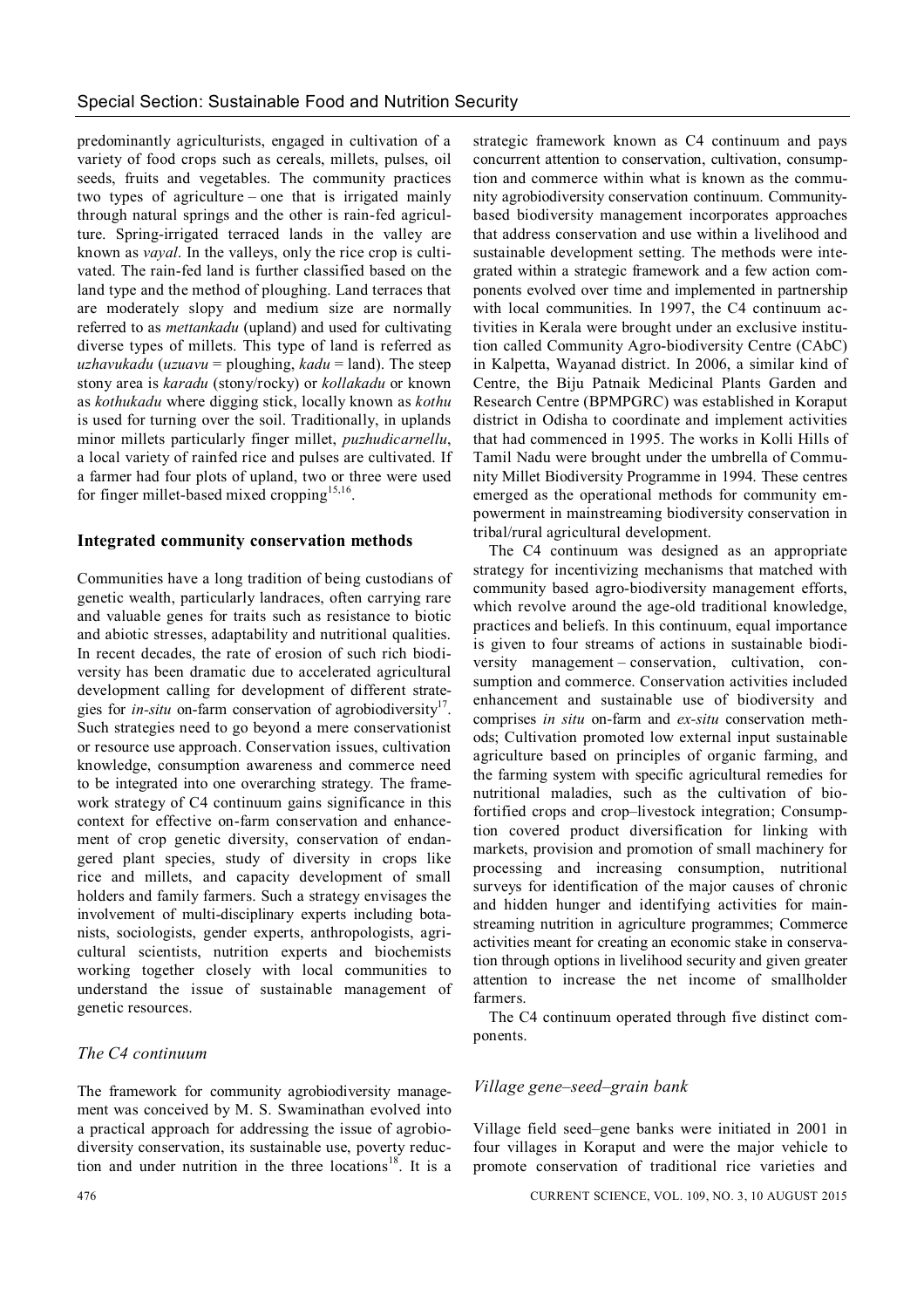predominantly agriculturists, engaged in cultivation of a variety of food crops such as cereals, millets, pulses, oil seeds, fruits and vegetables. The community practices two types of agriculture – one that is irrigated mainly through natural springs and the other is rain-fed agriculture. Spring-irrigated terraced lands in the valley are known as *vayal*. In the valleys, only the rice crop is cultivated. The rain-fed land is further classified based on the land type and the method of ploughing. Land terraces that are moderately slopy and medium size are normally referred to as *mettankadu* (upland) and used for cultivating diverse types of millets. This type of land is referred as *uzhavukadu* (*uzuavu* = ploughing, *kadu* = land). The steep stony area is *karadu* (stony/rocky) or *kollakadu* or known as *kothukadu* where digging stick, locally known as *kothu* is used for turning over the soil. Traditionally, in uplands minor millets particularly finger millet, *puzhudicarnellu*, a local variety of rainfed rice and pulses are cultivated. If a farmer had four plots of upland, two or three were used for finger millet-based mixed cropping<sup>15,16</sup>.

#### **Integrated community conservation methods**

Communities have a long tradition of being custodians of genetic wealth, particularly landraces, often carrying rare and valuable genes for traits such as resistance to biotic and abiotic stresses, adaptability and nutritional qualities. In recent decades, the rate of erosion of such rich biodiversity has been dramatic due to accelerated agricultural development calling for development of different strategies for *in-situ* on-farm conservation of agrobiodiversity<sup>17</sup>. Such strategies need to go beyond a mere conservationist or resource use approach. Conservation issues, cultivation knowledge, consumption awareness and commerce need to be integrated into one overarching strategy. The framework strategy of C4 continuum gains significance in this context for effective on-farm conservation and enhancement of crop genetic diversity, conservation of endangered plant species, study of diversity in crops like rice and millets, and capacity development of small holders and family farmers. Such a strategy envisages the involvement of multi-disciplinary experts including botanists, sociologists, gender experts, anthropologists, agricultural scientists, nutrition experts and biochemists working together closely with local communities to understand the issue of sustainable management of genetic resources.

# *The C4 continuum*

The framework for community agrobiodiversity management was conceived by M. S. Swaminathan evolved into a practical approach for addressing the issue of agrobiodiversity conservation, its sustainable use, poverty reduction and under nutrition in the three locations<sup>18</sup>. It is a

strategic framework known as C4 continuum and pays concurrent attention to conservation, cultivation, consumption and commerce within what is known as the community agrobiodiversity conservation continuum. Communitybased biodiversity management incorporates approaches that address conservation and use within a livelihood and sustainable development setting. The methods were integrated within a strategic framework and a few action components evolved over time and implemented in partnership with local communities. In 1997, the C4 continuum activities in Kerala were brought under an exclusive institution called Community Agro-biodiversity Centre (CAbC) in Kalpetta, Wayanad district. In 2006, a similar kind of Centre, the Biju Patnaik Medicinal Plants Garden and Research Centre (BPMPGRC) was established in Koraput district in Odisha to coordinate and implement activities that had commenced in 1995. The works in Kolli Hills of Tamil Nadu were brought under the umbrella of Community Millet Biodiversity Programme in 1994. These centres emerged as the operational methods for community empowerment in mainstreaming biodiversity conservation in tribal/rural agricultural development.

The C4 continuum was designed as an appropriate strategy for incentivizing mechanisms that matched with community based agro-biodiversity management efforts, which revolve around the age-old traditional knowledge, practices and beliefs. In this continuum, equal importance is given to four streams of actions in sustainable biodiversity management – conservation, cultivation, consumption and commerce. Conservation activities included enhancement and sustainable use of biodiversity and comprises *in situ* on-farm and *ex-situ* conservation methods; Cultivation promoted low external input sustainable agriculture based on principles of organic farming, and the farming system with specific agricultural remedies for nutritional maladies, such as the cultivation of biofortified crops and crop–livestock integration; Consumption covered product diversification for linking with markets, provision and promotion of small machinery for processing and increasing consumption, nutritional surveys for identification of the major causes of chronic and hidden hunger and identifying activities for mainstreaming nutrition in agriculture programmes; Commerce activities meant for creating an economic stake in conservation through options in livelihood security and given greater attention to increase the net income of smallholder farmers.

The C4 continuum operated through five distinct components.

#### *Village gene–seed–grain bank*

Village field seed–gene banks were initiated in 2001 in four villages in Koraput and were the major vehicle to promote conservation of traditional rice varieties and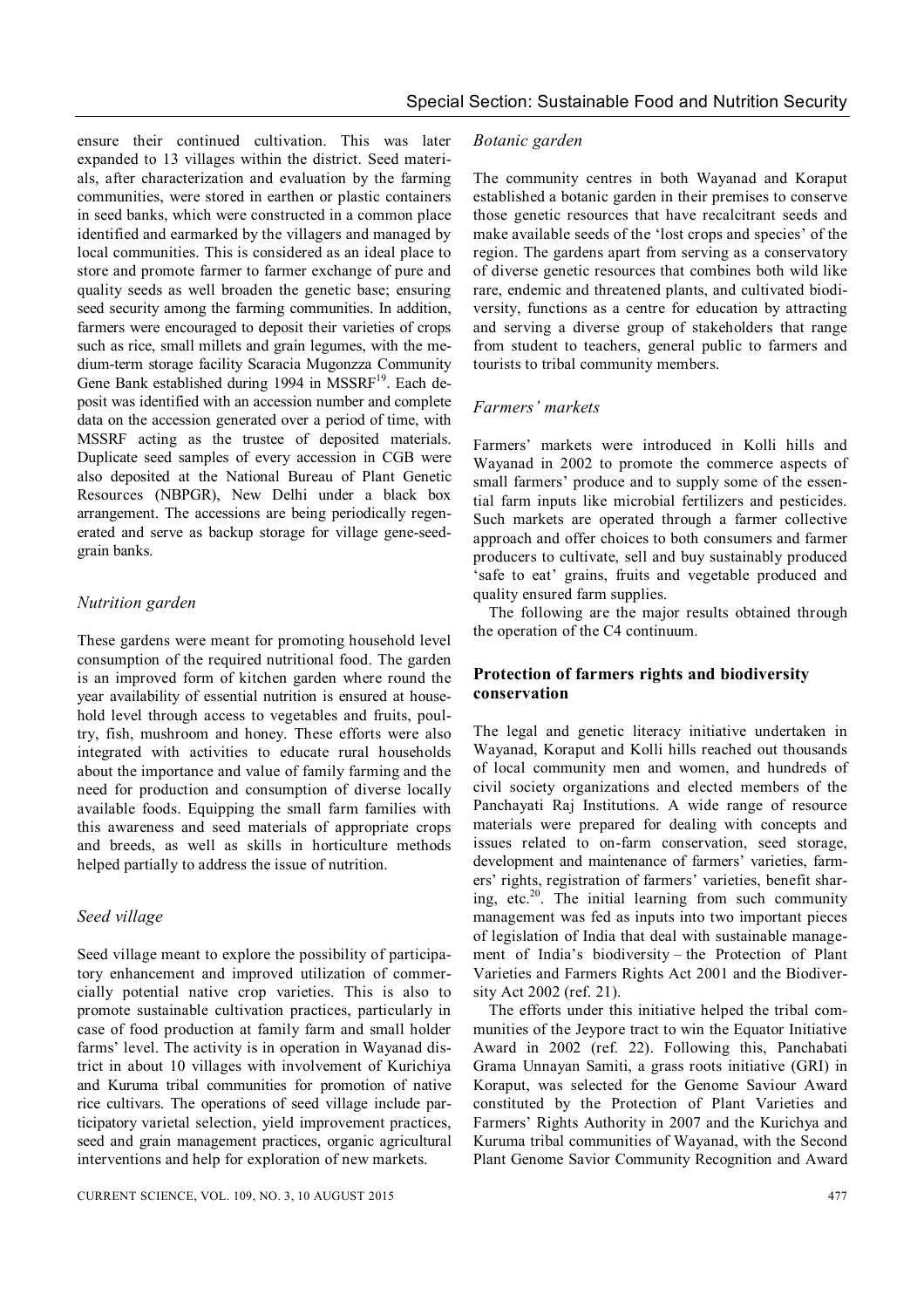ensure their continued cultivation. This was later expanded to 13 villages within the district. Seed materials, after characterization and evaluation by the farming communities, were stored in earthen or plastic containers in seed banks, which were constructed in a common place identified and earmarked by the villagers and managed by local communities. This is considered as an ideal place to store and promote farmer to farmer exchange of pure and quality seeds as well broaden the genetic base; ensuring seed security among the farming communities. In addition, farmers were encouraged to deposit their varieties of crops such as rice, small millets and grain legumes, with the medium-term storage facility Scaracia Mugonzza Community Gene Bank established during 1994 in MSSRF<sup>19</sup>. Each deposit was identified with an accession number and complete data on the accession generated over a period of time, with MSSRF acting as the trustee of deposited materials. Duplicate seed samples of every accession in CGB were also deposited at the National Bureau of Plant Genetic Resources (NBPGR), New Delhi under a black box arrangement. The accessions are being periodically regenerated and serve as backup storage for village gene-seedgrain banks.

# *Nutrition garden*

These gardens were meant for promoting household level consumption of the required nutritional food. The garden is an improved form of kitchen garden where round the year availability of essential nutrition is ensured at household level through access to vegetables and fruits, poultry, fish, mushroom and honey. These efforts were also integrated with activities to educate rural households about the importance and value of family farming and the need for production and consumption of diverse locally available foods. Equipping the small farm families with this awareness and seed materials of appropriate crops and breeds, as well as skills in horticulture methods helped partially to address the issue of nutrition.

# *Seed village*

Seed village meant to explore the possibility of participatory enhancement and improved utilization of commercially potential native crop varieties. This is also to promote sustainable cultivation practices, particularly in case of food production at family farm and small holder farms' level. The activity is in operation in Wayanad district in about 10 villages with involvement of Kurichiya and Kuruma tribal communities for promotion of native rice cultivars. The operations of seed village include participatory varietal selection, yield improvement practices, seed and grain management practices, organic agricultural interventions and help for exploration of new markets.

#### *Botanic garden*

The community centres in both Wayanad and Koraput established a botanic garden in their premises to conserve those genetic resources that have recalcitrant seeds and make available seeds of the 'lost crops and species' of the region. The gardens apart from serving as a conservatory of diverse genetic resources that combines both wild like rare, endemic and threatened plants, and cultivated biodiversity, functions as a centre for education by attracting and serving a diverse group of stakeholders that range from student to teachers, general public to farmers and tourists to tribal community members.

#### *Farmers' markets*

Farmers' markets were introduced in Kolli hills and Wayanad in 2002 to promote the commerce aspects of small farmers' produce and to supply some of the essential farm inputs like microbial fertilizers and pesticides. Such markets are operated through a farmer collective approach and offer choices to both consumers and farmer producers to cultivate, sell and buy sustainably produced 'safe to eat' grains, fruits and vegetable produced and quality ensured farm supplies.

The following are the major results obtained through the operation of the C4 continuum.

#### **Protection of farmers rights and biodiversity conservation**

The legal and genetic literacy initiative undertaken in Wayanad, Koraput and Kolli hills reached out thousands of local community men and women, and hundreds of civil society organizations and elected members of the Panchayati Raj Institutions. A wide range of resource materials were prepared for dealing with concepts and issues related to on-farm conservation, seed storage, development and maintenance of farmers' varieties, farmers' rights, registration of farmers' varieties, benefit sharing, etc. <sup>20</sup>. The initial learning from such community management was fed as inputs into two important pieces of legislation of India that deal with sustainable management of India's biodiversity – the Protection of Plant Varieties and Farmers Rights Act 2001 and the Biodiversity Act 2002 (ref. 21).

The efforts under this initiative helped the tribal communities of the Jeypore tract to win the Equator Initiative Award in 2002 (ref. 22). Following this, Panchabati Grama Unnayan Samiti, a grass roots initiative (GRI) in Koraput, was selected for the Genome Saviour Award constituted by the Protection of Plant Varieties and Farmers' Rights Authority in 2007 and the Kurichya and Kuruma tribal communities of Wayanad, with the Second Plant Genome Savior Community Recognition and Award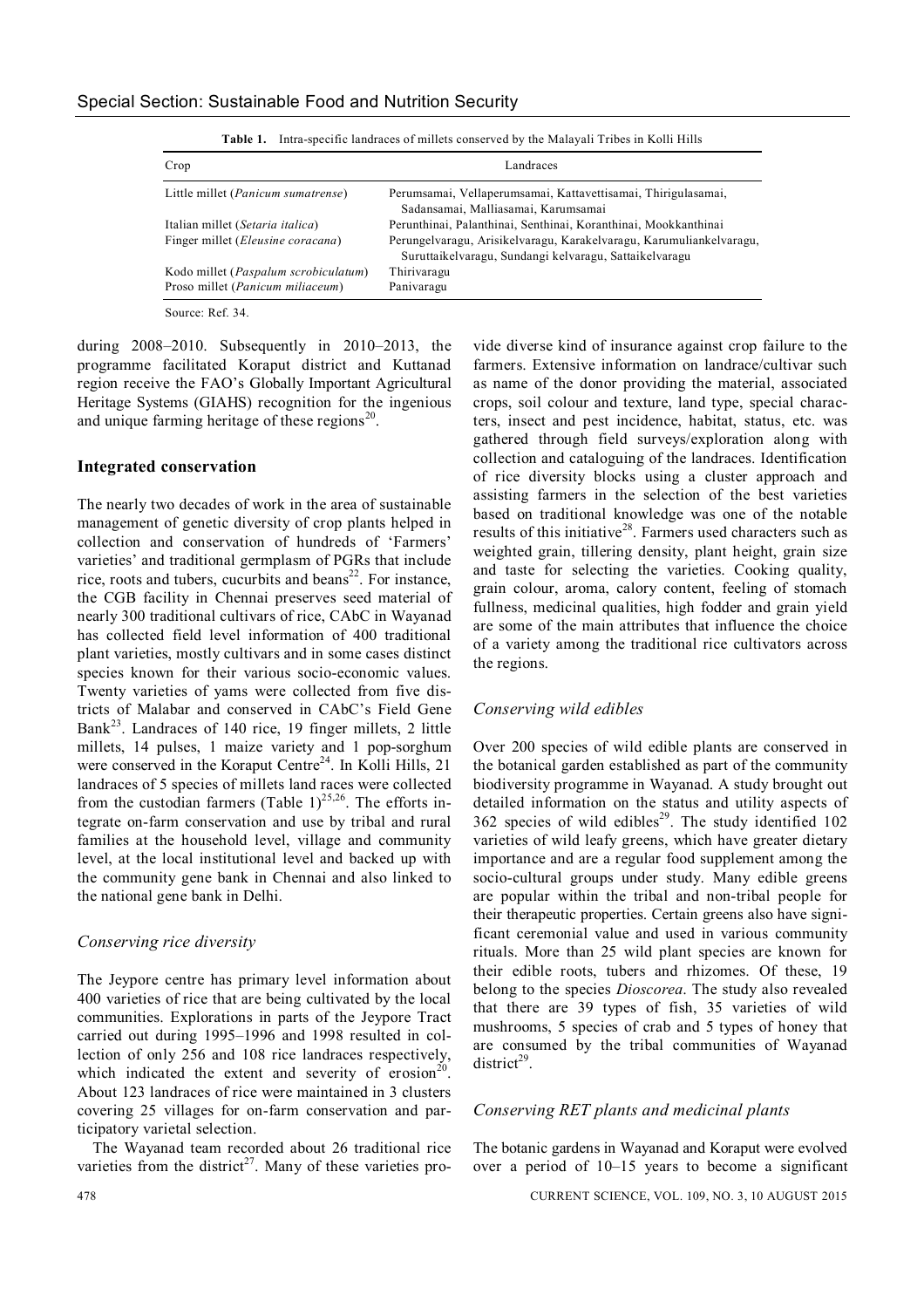| Crop                                        | Landraces                                                                                                                     |
|---------------------------------------------|-------------------------------------------------------------------------------------------------------------------------------|
| Little millet ( <i>Panicum sumatrense</i> ) | Perumsamai, Vellaperumsamai, Kattavettisamai, Thirigulasamai,<br>Sadansamai, Malliasamai, Karumsamai                          |
| Italian millet (Setaria italica)            | Perunthinai, Palanthinai, Senthinai, Koranthinai, Mookkanthinai                                                               |
| Finger millet ( <i>Eleusine coracana</i> )  | Perungelvaragu, Arisikelvaragu, Karakelvaragu, Karumuliankelvaragu,<br>Suruttaikelvaragu, Sundangi kelvaragu, Sattaikelvaragu |
| Kodo millet (Paspalum scrobiculatum)        | Thirivaragu                                                                                                                   |
| Proso millet ( <i>Panicum miliaceum</i> )   | Panivaragu                                                                                                                    |

**Table 1.** Intra-specific landraces of millets conserved by the Malayali Tribes in Kolli Hills

during 2008–2010. Subsequently in 2010–2013, the programme facilitated Koraput district and Kuttanad region receive the FAO's Globally Important Agricultural Heritage Systems (GIAHS) recognition for the ingenious

and unique farming heritage of these regions<sup>20</sup>.

#### **Integrated conservation**

The nearly two decades of work in the area of sustainable management of genetic diversity of crop plants helped in collection and conservation of hundreds of 'Farmers' varieties' and traditional germplasm of PGRs that include rice, roots and tubers, cucurbits and beans $^{22}$ . For instance, the CGB facility in Chennai preserves seed material of nearly 300 traditional cultivars of rice, CAbC in Wayanad has collected field level information of 400 traditional plant varieties, mostly cultivars and in some cases distinct species known for their various socio-economic values. Twenty varieties of yams were collected from five districts of Malabar and conserved in CAbC's Field Gene Bank<sup>23</sup>. Landraces of 140 rice, 19 finger millets, 2 little millets, 14 pulses, 1 maize variety and 1 pop-sorghum were conserved in the Koraput Centre<sup>24</sup>. In Kolli Hills, 21 landraces of 5 species of millets land races were collected from the custodian farmers (Table 1)<sup>25,26</sup>. The efforts integrate on-farm conservation and use by tribal and rural families at the household level, village and community level, at the local institutional level and backed up with the community gene bank in Chennai and also linked to the national gene bank in Delhi.

#### *Conserving rice diversity*

The Jeypore centre has primary level information about 400 varieties of rice that are being cultivated by the local communities. Explorations in parts of the Jeypore Tract carried out during 1995–1996 and 1998 resulted in collection of only 256 and 108 rice landraces respectively, which indicated the extent and severity of erosion<sup>20</sup>. About 123 landraces of rice were maintained in 3 clusters covering 25 villages for on-farm conservation and participatory varietal selection.

The Wayanad team recorded about 26 traditional rice varieties from the district<sup>27</sup>. Many of these varieties pro-

vide diverse kind of insurance against crop failure to the farmers. Extensive information on landrace/cultivar such as name of the donor providing the material, associated crops, soil colour and texture, land type, special characters, insect and pest incidence, habitat, status, etc. was gathered through field surveys/exploration along with collection and cataloguing of the landraces. Identification of rice diversity blocks using a cluster approach and assisting farmers in the selection of the best varieties based on traditional knowledge was one of the notable results of this initiative<sup>28</sup>. Farmers used characters such as weighted grain, tillering density, plant height, grain size and taste for selecting the varieties. Cooking quality, grain colour, aroma, calory content, feeling of stomach fullness, medicinal qualities, high fodder and grain yield are some of the main attributes that influence the choice of a variety among the traditional rice cultivators across the regions.

#### *Conserving wild edibles*

Over 200 species of wild edible plants are conserved in the botanical garden established as part of the community biodiversity programme in Wayanad. A study brought out detailed information on the status and utility aspects of 362 species of wild edibles<sup>29</sup>. The study identified  $102$ varieties of wild leafy greens, which have greater dietary importance and are a regular food supplement among the socio-cultural groups under study. Many edible greens are popular within the tribal and non-tribal people for their therapeutic properties. Certain greens also have significant ceremonial value and used in various community rituals. More than 25 wild plant species are known for their edible roots, tubers and rhizomes. Of these, 19 belong to the species *Dioscorea*. The study also revealed that there are 39 types of fish, 35 varieties of wild mushrooms, 5 species of crab and 5 types of honey that are consumed by the tribal communities of Wayanad  $district^{29}$ .

#### *Conserving RET plants and medicinal plants*

The botanic gardens in Wayanad and Koraput were evolved over a period of 10–15 years to become a significant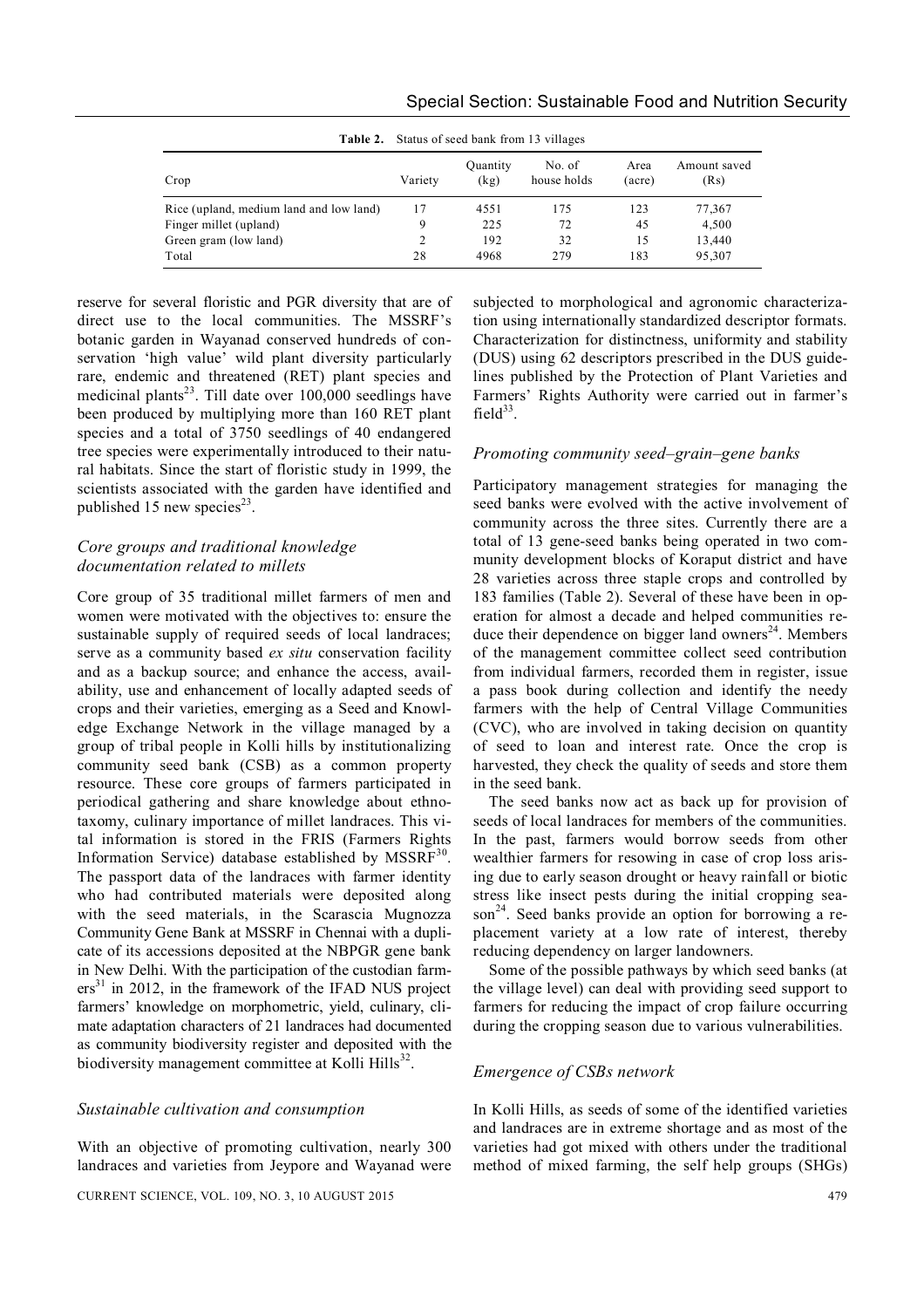| <b>Table 2.</b> Status of seed bank from 13 villages |         |                  |                       |                |                      |  |
|------------------------------------------------------|---------|------------------|-----------------------|----------------|----------------------|--|
| Crop                                                 | Variety | Quantity<br>(kg) | No. of<br>house holds | Area<br>(acre) | Amount saved<br>(Rs) |  |
| Rice (upland, medium land and low land)              | 17      | 4551             | 175                   | 123            | 77,367               |  |
| Finger millet (upland)                               | 9       | 225              | 72                    | 45             | 4,500                |  |
| Green gram (low land)                                |         | 192              | 32                    | 15             | 13,440               |  |
| Total                                                | 28      | 4968             | 279                   | 183            | 95,307               |  |

**Table 2.** Status of seed bank from 13 villages

reserve for several floristic and PGR diversity that are of direct use to the local communities. The MSSRF's botanic garden in Wayanad conserved hundreds of conservation 'high value' wild plant diversity particularly rare, endemic and threatened (RET) plant species and medicinal plants<sup>23</sup>. Till date over  $100,000$  seedlings have been produced by multiplying more than 160 RET plant species and a total of 3750 seedlings of 40 endangered tree species were experimentally introduced to their natural habitats. Since the start of floristic study in 1999, the scientists associated with the garden have identified and published 15 new species<sup>23</sup>.

# *Core groups and traditional knowledge documentation related to millets*

Core group of 35 traditional millet farmers of men and women were motivated with the objectives to: ensure the sustainable supply of required seeds of local landraces; serve as a community based *ex situ* conservation facility and as a backup source; and enhance the access, availability, use and enhancement of locally adapted seeds of crops and their varieties, emerging as a Seed and Knowledge Exchange Network in the village managed by a group of tribal people in Kolli hills by institutionalizing community seed bank (CSB) as a common property resource. These core groups of farmers participated in periodical gathering and share knowledge about ethnotaxomy, culinary importance of millet landraces. This vital information is stored in the FRIS (Farmers Rights Information Service) database established by MSSRF<sup>30</sup>. The passport data of the landraces with farmer identity who had contributed materials were deposited along with the seed materials, in the Scarascia Mugnozza Community Gene Bank at MSSRF in Chennai with a duplicate of its accessions deposited at the NBPGR gene bank in New Delhi. With the participation of the custodian farm $ers<sup>31</sup>$  in 2012, in the framework of the IFAD NUS project farmers' knowledge on morphometric, yield, culinary, climate adaptation characters of 21 landraces had documented as community biodiversity register and deposited with the biodiversity management committee at Kolli Hills<sup>32</sup>.

#### *Sustainable cultivation and consumption*

With an objective of promoting cultivation, nearly 300 landraces and varieties from Jeypore and Wayanad were

subjected to morphological and agronomic characterization using internationally standardized descriptor formats. Characterization for distinctness, uniformity and stability (DUS) using 62 descriptors prescribed in the DUS guidelines published by the Protection of Plant Varieties and Farmers' Rights Authority were carried out in farmer's field $33$ .

#### *Promoting community seed–grain–gene banks*

Participatory management strategies for managing the seed banks were evolved with the active involvement of community across the three sites. Currently there are a total of 13 gene-seed banks being operated in two community development blocks of Koraput district and have 28 varieties across three staple crops and controlled by 183 families (Table 2). Several of these have been in operation for almost a decade and helped communities reduce their dependence on bigger land owners $24$ . Members of the management committee collect seed contribution from individual farmers, recorded them in register, issue a pass book during collection and identify the needy farmers with the help of Central Village Communities (CVC), who are involved in taking decision on quantity of seed to loan and interest rate. Once the crop is harvested, they check the quality of seeds and store them in the seed bank.

The seed banks now act as back up for provision of seeds of local landraces for members of the communities. In the past, farmers would borrow seeds from other wealthier farmers for resowing in case of crop loss arising due to early season drought or heavy rainfall or biotic stress like insect pests during the initial cropping season<sup>24</sup>. Seed banks provide an option for borrowing a replacement variety at a low rate of interest, thereby reducing dependency on larger landowners.

Some of the possible pathways by which seed banks (at the village level) can deal with providing seed support to farmers for reducing the impact of crop failure occurring during the cropping season due to various vulnerabilities.

#### *Emergence of CSBs network*

In Kolli Hills, as seeds of some of the identified varieties and landraces are in extreme shortage and as most of the varieties had got mixed with others under the traditional method of mixed farming, the self help groups (SHGs)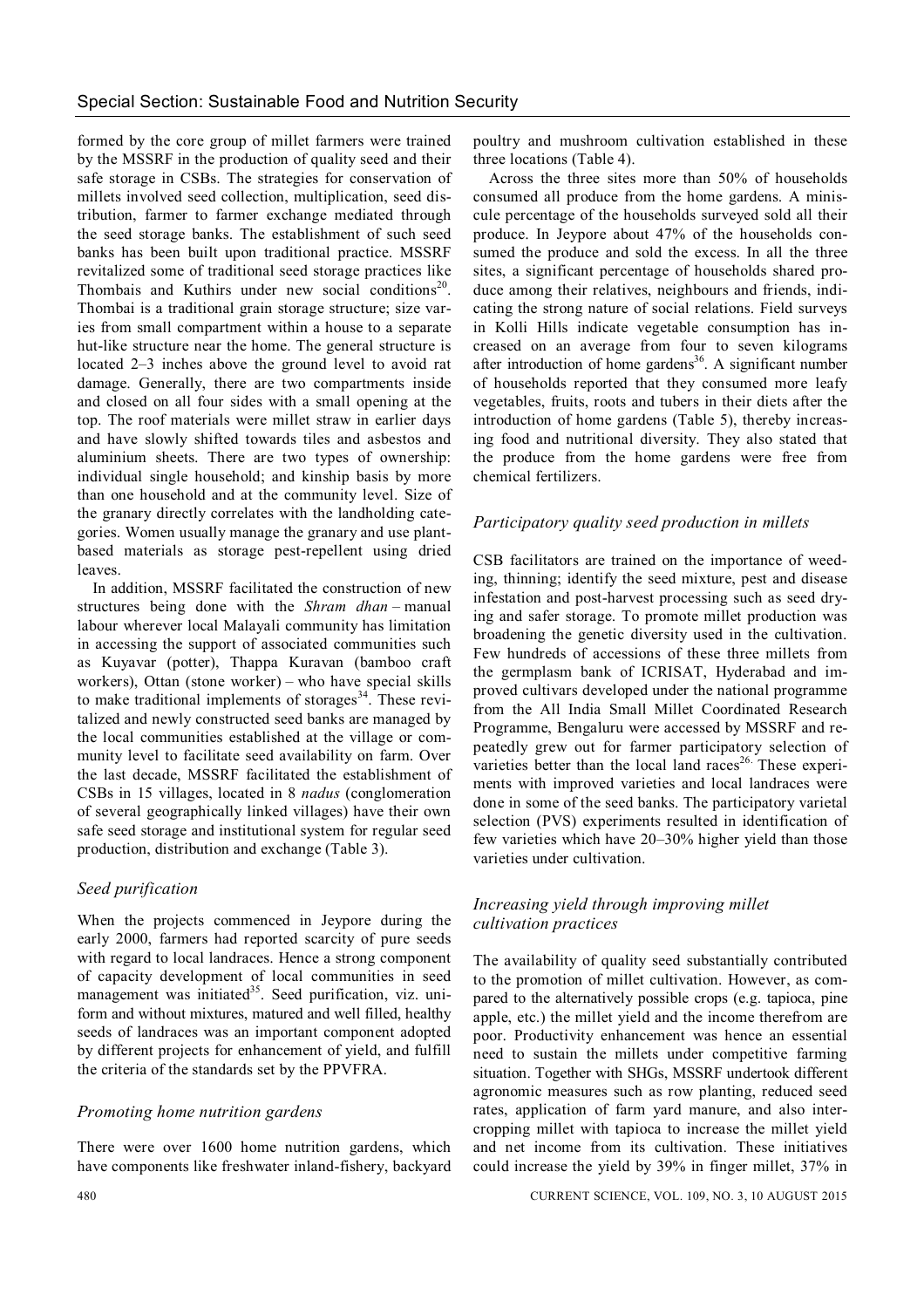formed by the core group of millet farmers were trained by the MSSRF in the production of quality seed and their safe storage in CSBs. The strategies for conservation of millets involved seed collection, multiplication, seed distribution, farmer to farmer exchange mediated through the seed storage banks. The establishment of such seed banks has been built upon traditional practice. MSSRF revitalized some of traditional seed storage practices like Thombais and Kuthirs under new social conditions<sup>20</sup>. Thombai is a traditional grain storage structure; size varies from small compartment within a house to a separate hut-like structure near the home. The general structure is located 2–3 inches above the ground level to avoid rat damage. Generally, there are two compartments inside and closed on all four sides with a small opening at the top. The roof materials were millet straw in earlier days and have slowly shifted towards tiles and asbestos and aluminium sheets. There are two types of ownership: individual single household; and kinship basis by more than one household and at the community level. Size of the granary directly correlates with the landholding categories. Women usually manage the granary and use plantbased materials as storage pest-repellent using dried leaves.

In addition, MSSRF facilitated the construction of new structures being done with the *Shram dhan –* manual labour wherever local Malayali community has limitation in accessing the support of associated communities such as Kuyavar (potter), Thappa Kuravan (bamboo craft workers), Ottan (stone worker) – who have special skills to make traditional implements of storages<sup>34</sup>. These revitalized and newly constructed seed banks are managed by the local communities established at the village or community level to facilitate seed availability on farm. Over the last decade, MSSRF facilitated the establishment of CSBs in 15 villages, located in 8 *nadus* (conglomeration of several geographically linked villages) have their own safe seed storage and institutional system for regular seed production, distribution and exchange (Table 3).

# *Seed purification*

When the projects commenced in Jeypore during the early 2000, farmers had reported scarcity of pure seeds with regard to local landraces. Hence a strong component of capacity development of local communities in seed management was initiated<sup>35</sup>. Seed purification, viz. uniform and without mixtures, matured and well filled, healthy seeds of landraces was an important component adopted by different projects for enhancement of yield, and fulfill the criteria of the standards set by the PPVFRA.

# *Promoting home nutrition gardens*

There were over 1600 home nutrition gardens, which have components like freshwater inland-fishery, backyard poultry and mushroom cultivation established in these three locations (Table 4).

Across the three sites more than 50% of households consumed all produce from the home gardens. A miniscule percentage of the households surveyed sold all their produce. In Jeypore about 47% of the households consumed the produce and sold the excess. In all the three sites, a significant percentage of households shared produce among their relatives, neighbours and friends, indicating the strong nature of social relations. Field surveys in Kolli Hills indicate vegetable consumption has increased on an average from four to seven kilograms after introduction of home gardens<sup>36</sup>. A significant number of households reported that they consumed more leafy vegetables, fruits, roots and tubers in their diets after the introduction of home gardens (Table 5), thereby increasing food and nutritional diversity. They also stated that the produce from the home gardens were free from chemical fertilizers.

# *Participatory quality seed production in millets*

CSB facilitators are trained on the importance of weeding, thinning; identify the seed mixture, pest and disease infestation and post-harvest processing such as seed drying and safer storage. To promote millet production was broadening the genetic diversity used in the cultivation. Few hundreds of accessions of these three millets from the germplasm bank of ICRISAT, Hyderabad and improved cultivars developed under the national programme from the All India Small Millet Coordinated Research Programme, Bengaluru were accessed by MSSRF and repeatedly grew out for farmer participatory selection of varieties better than the local land races<sup>26</sup>. These experiments with improved varieties and local landraces were done in some of the seed banks. The participatory varietal selection (PVS) experiments resulted in identification of few varieties which have 20–30% higher yield than those varieties under cultivation.

# *Increasing yield through improving millet cultivation practices*

The availability of quality seed substantially contributed to the promotion of millet cultivation. However, as compared to the alternatively possible crops (e.g. tapioca, pine apple, etc.) the millet yield and the income therefrom are poor. Productivity enhancement was hence an essential need to sustain the millets under competitive farming situation. Together with SHGs, MSSRF undertook different agronomic measures such as row planting, reduced seed rates, application of farm yard manure, and also intercropping millet with tapioca to increase the millet yield and net income from its cultivation. These initiatives could increase the yield by 39% in finger millet, 37% in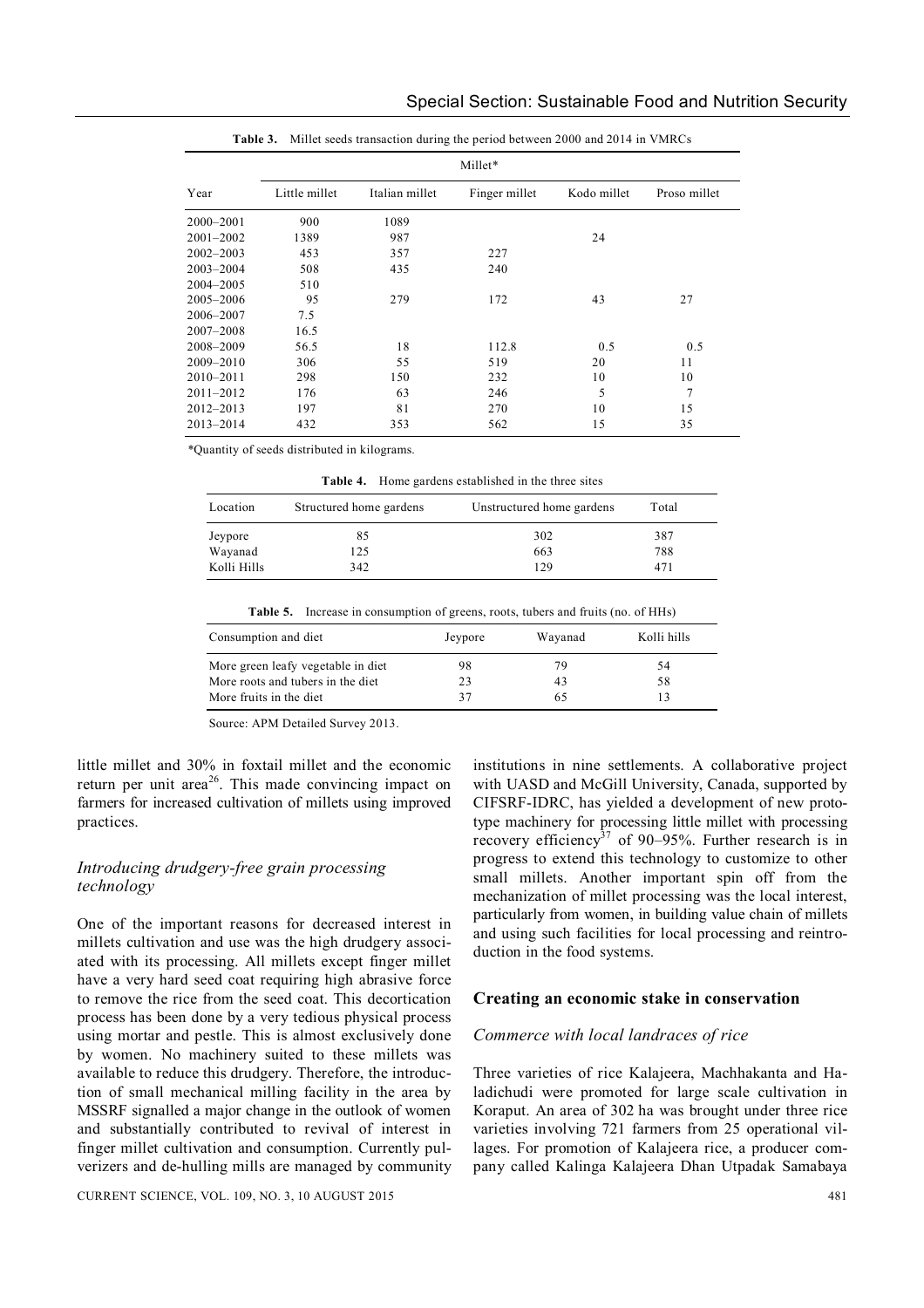| Millet*       |               |                |               |             |              |  |  |
|---------------|---------------|----------------|---------------|-------------|--------------|--|--|
| Year          | Little millet | Italian millet | Finger millet | Kodo millet | Proso millet |  |  |
| $2000 - 2001$ | 900           | 1089           |               |             |              |  |  |
| $2001 - 2002$ | 1389          | 987            |               | 24          |              |  |  |
| $2002 - 2003$ | 453           | 357            | 227           |             |              |  |  |
| $2003 - 2004$ | 508           | 435            | 240           |             |              |  |  |
| 2004-2005     | 510           |                |               |             |              |  |  |
| 2005-2006     | 95            | 279            | 172           | 43          | 27           |  |  |
| 2006-2007     | 7.5           |                |               |             |              |  |  |
| $2007 - 2008$ | 16.5          |                |               |             |              |  |  |
| 2008-2009     | 56.5          | 18             | 112.8         | 0.5         | 0.5          |  |  |
| 2009-2010     | 306           | 55             | 519           | 20          | 11           |  |  |
| $2010 - 2011$ | 298           | 150            | 232           | 10          | 10           |  |  |
| $2011 - 2012$ | 176           | 63             | 246           | 5           | 7            |  |  |
| $2012 - 2013$ | 197           | 81             | 270           | 10          | 15           |  |  |
| $2013 - 2014$ | 432           | 353            | 562           | 15          | 35           |  |  |

|  |  | <b>Table 3.</b> Millet seeds transaction during the period between 2000 and 2014 in VMRCs |
|--|--|-------------------------------------------------------------------------------------------|
|--|--|-------------------------------------------------------------------------------------------|

*\**Quantity of seeds distributed in kilograms.

**Table 4.** Home gardens established in the three sites

| Location           | Structured home gardens | Unstructured home gardens | Total      |  |
|--------------------|-------------------------|---------------------------|------------|--|
| Jeypore<br>Wayanad | 85<br>125               | 302<br>663                | 387<br>788 |  |
| Kolli Hills        | 342                     | 129                       | 471        |  |

|  | <b>Table 5.</b> Increase in consumption of greens, roots, tubers and fruits (no. of HHs) |  |
|--|------------------------------------------------------------------------------------------|--|
|--|------------------------------------------------------------------------------------------|--|

| Consumption and diet               | Jeypore | Wayanad | Kolli hills |
|------------------------------------|---------|---------|-------------|
| More green leafy vegetable in diet | 98      | 79      | 54          |
| More roots and tubers in the diet  | 23      | 43      | 58          |
| More fruits in the diet            | 37      | 65      |             |

Source: APM Detailed Survey 2013.

little millet and 30% in foxtail millet and the economic return per unit area<sup>26</sup>. This made convincing impact on farmers for increased cultivation of millets using improved practices.

# *Introducing drudgery-free grain processing technology*

One of the important reasons for decreased interest in millets cultivation and use was the high drudgery associated with its processing. All millets except finger millet have a very hard seed coat requiring high abrasive force to remove the rice from the seed coat. This decortication process has been done by a very tedious physical process using mortar and pestle. This is almost exclusively done by women. No machinery suited to these millets was available to reduce this drudgery. Therefore, the introduction of small mechanical milling facility in the area by MSSRF signalled a major change in the outlook of women and substantially contributed to revival of interest in finger millet cultivation and consumption. Currently pulverizers and de-hulling mills are managed by community

institutions in nine settlements. A collaborative project with UASD and McGill University, Canada, supported by CIFSRF-IDRC, has yielded a development of new prototype machinery for processing little millet with processing recovery efficiency<sup>37</sup> of 90–95%. Further research is in progress to extend this technology to customize to other small millets. Another important spin off from the mechanization of millet processing was the local interest, particularly from women, in building value chain of millets and using such facilities for local processing and reintroduction in the food systems.

#### **Creating an economic stake in conservation**

#### *Commerce with local landraces of rice*

Three varieties of rice Kalajeera, Machhakanta and Haladichudi were promoted for large scale cultivation in Koraput. An area of 302 ha was brought under three rice varieties involving 721 farmers from 25 operational villages. For promotion of Kalajeera rice, a producer company called Kalinga Kalajeera Dhan Utpadak Samabaya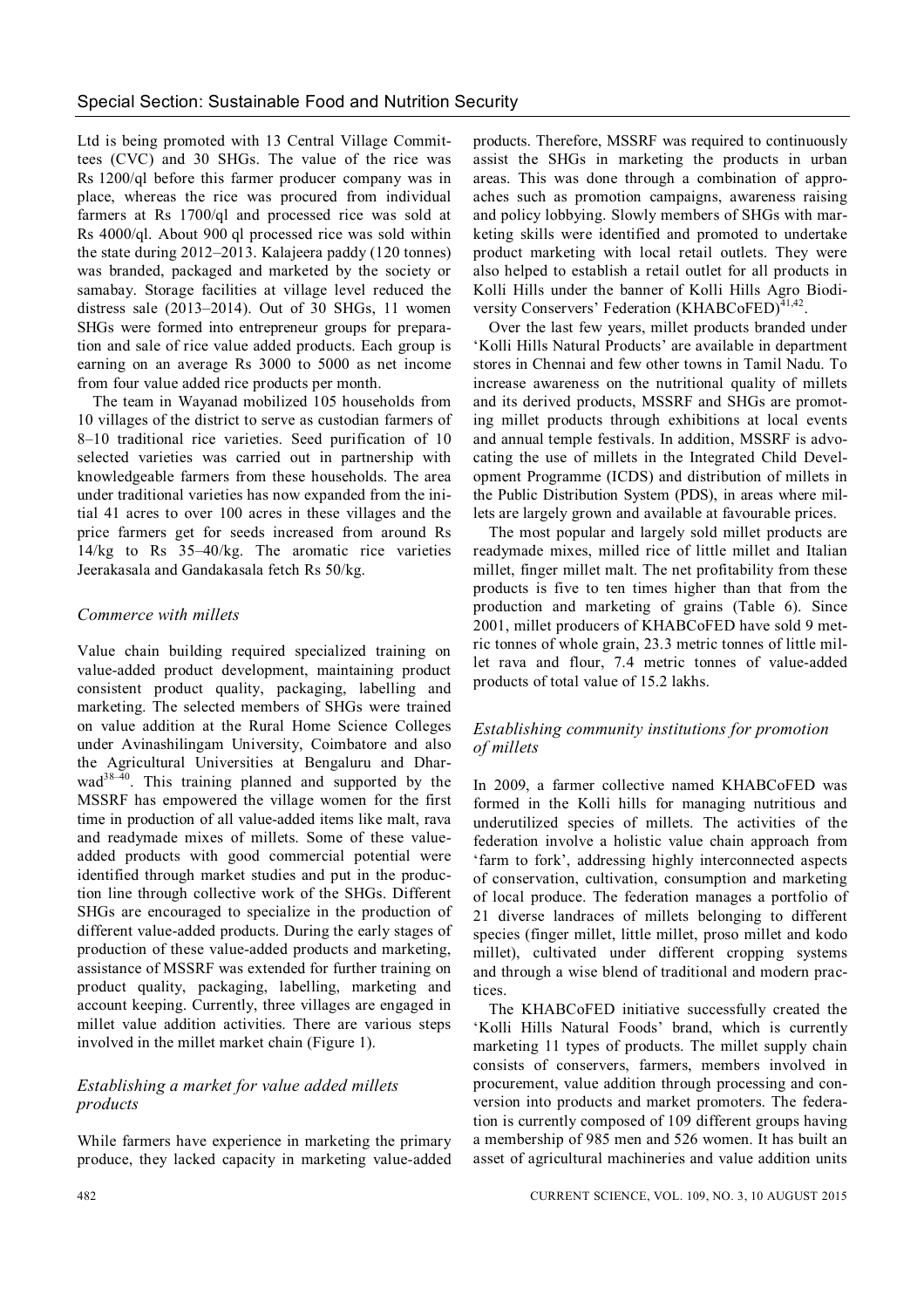Ltd is being promoted with 13 Central Village Committees (CVC) and 30 SHGs. The value of the rice was Rs 1200/ql before this farmer producer company was in place, whereas the rice was procured from individual farmers at Rs 1700/ql and processed rice was sold at Rs 4000/ql. About 900 ql processed rice was sold within the state during 2012–2013. Kalajeera paddy (120 tonnes) was branded, packaged and marketed by the society or samabay. Storage facilities at village level reduced the distress sale (2013–2014). Out of 30 SHGs, 11 women SHGs were formed into entrepreneur groups for preparation and sale of rice value added products. Each group is earning on an average Rs 3000 to 5000 as net income from four value added rice products per month.

The team in Wayanad mobilized 105 households from 10 villages of the district to serve as custodian farmers of 8–10 traditional rice varieties. Seed purification of 10 selected varieties was carried out in partnership with knowledgeable farmers from these households. The area under traditional varieties has now expanded from the initial 41 acres to over 100 acres in these villages and the price farmers get for seeds increased from around Rs 14/kg to Rs 35–40/kg. The aromatic rice varieties Jeerakasala and Gandakasala fetch Rs 50/kg.

#### *Commerce with millets*

Value chain building required specialized training on value-added product development, maintaining product consistent product quality, packaging, labelling and marketing. The selected members of SHGs were trained on value addition at the Rural Home Science Colleges under Avinashilingam University, Coimbatore and also the Agricultural Universities at Bengaluru and Dhar $wad^{38-40}$ . This training planned and supported by the MSSRF has empowered the village women for the first time in production of all value-added items like malt, rava and readymade mixes of millets. Some of these valueadded products with good commercial potential were identified through market studies and put in the production line through collective work of the SHGs. Different SHGs are encouraged to specialize in the production of different value-added products. During the early stages of production of these value-added products and marketing, assistance of MSSRF was extended for further training on product quality, packaging, labelling, marketing and account keeping. Currently, three villages are engaged in millet value addition activities. There are various steps involved in the millet market chain (Figure 1).

# *Establishing a market for value added millets products*

While farmers have experience in marketing the primary produce, they lacked capacity in marketing value-added products. Therefore, MSSRF was required to continuously assist the SHGs in marketing the products in urban areas. This was done through a combination of approaches such as promotion campaigns, awareness raising and policy lobbying. Slowly members of SHGs with marketing skills were identified and promoted to undertake product marketing with local retail outlets. They were also helped to establish a retail outlet for all products in Kolli Hills under the banner of Kolli Hills Agro Biodiversity Conservers' Federation (KHABCoFED) $41,42$ .

Over the last few years, millet products branded under 'Kolli Hills Natural Products' are available in department stores in Chennai and few other towns in Tamil Nadu. To increase awareness on the nutritional quality of millets and its derived products, MSSRF and SHGs are promoting millet products through exhibitions at local events and annual temple festivals. In addition, MSSRF is advocating the use of millets in the Integrated Child Development Programme (ICDS) and distribution of millets in the Public Distribution System (PDS), in areas where millets are largely grown and available at favourable prices.

The most popular and largely sold millet products are readymade mixes, milled rice of little millet and Italian millet, finger millet malt. The net profitability from these products is five to ten times higher than that from the production and marketing of grains (Table 6). Since 2001, millet producers of KHABCoFED have sold 9 metric tonnes of whole grain, 23.3 metric tonnes of little millet rava and flour, 7.4 metric tonnes of value-added products of total value of 15.2 lakhs.

#### *Establishing community institutions for promotion of millets*

In 2009, a farmer collective named KHABCoFED was formed in the Kolli hills for managing nutritious and underutilized species of millets. The activities of the federation involve a holistic value chain approach from 'farm to fork', addressing highly interconnected aspects of conservation, cultivation, consumption and marketing of local produce. The federation manages a portfolio of 21 diverse landraces of millets belonging to different species (finger millet, little millet, proso millet and kodo millet), cultivated under different cropping systems and through a wise blend of traditional and modern practices.

The KHABCoFED initiative successfully created the 'Kolli Hills Natural Foods' brand, which is currently marketing 11 types of products. The millet supply chain consists of conservers, farmers, members involved in procurement, value addition through processing and conversion into products and market promoters. The federation is currently composed of 109 different groups having a membership of 985 men and 526 women. It has built an asset of agricultural machineries and value addition units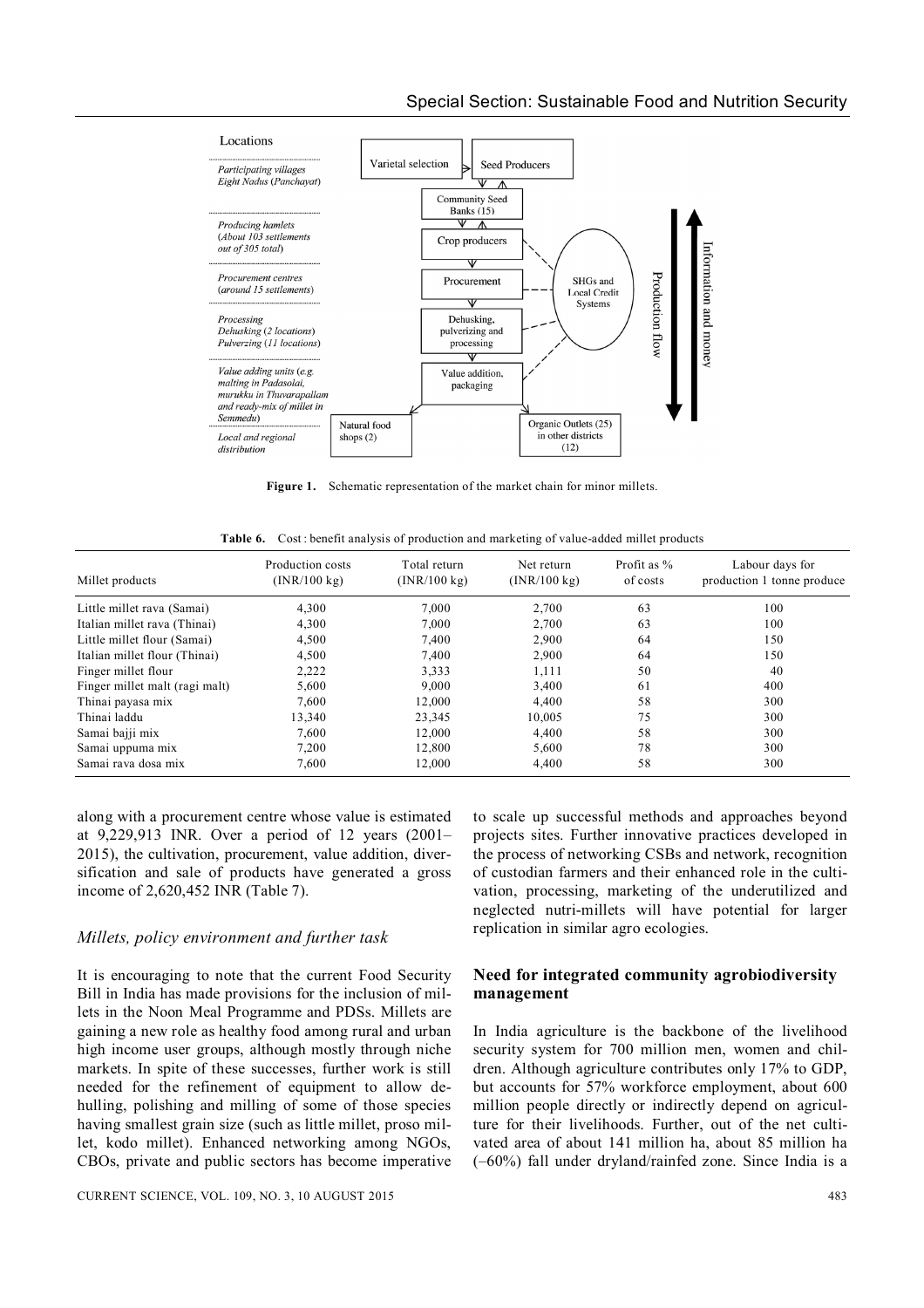

Figure 1. Schematic representation of the market chain for minor millets.

| <b>Table 6.</b> Cost: benefit analysis of production and marketing of value-added millet products |  |  |  |
|---------------------------------------------------------------------------------------------------|--|--|--|
|                                                                                                   |  |  |  |

| Millet products                | Production costs<br>(INR/100 kg) | Total return<br>(INR/100 kg) | Net return<br>(INR/100 kg) | Profit as %<br>of costs | Labour days for<br>production 1 tonne produce |
|--------------------------------|----------------------------------|------------------------------|----------------------------|-------------------------|-----------------------------------------------|
| Little millet rava (Samai)     | 4,300                            | 7,000                        | 2,700                      | 63                      | 100                                           |
| Italian millet rava (Thinai)   | 4,300                            | 7,000                        | 2,700                      | 63                      | 100                                           |
| Little millet flour (Samai)    | 4,500                            | 7,400                        | 2,900                      | 64                      | 150                                           |
| Italian millet flour (Thinai)  | 4,500                            | 7,400                        | 2,900                      | 64                      | 150                                           |
| Finger millet flour            | 2,222                            | 3.333                        | 1,111                      | 50                      | 40                                            |
| Finger millet malt (ragi malt) | 5,600                            | 9,000                        | 3,400                      | 61                      | 400                                           |
| Thinai payasa mix              | 7.600                            | 12,000                       | 4.400                      | 58                      | 300                                           |
| Thinai laddu                   | 13,340                           | 23,345                       | 10,005                     | 75                      | 300                                           |
| Samai bajji mix                | 7.600                            | 12,000                       | 4.400                      | 58                      | 300                                           |
| Samai uppuma mix               | 7,200                            | 12,800                       | 5,600                      | 78                      | 300                                           |
| Samai rava dosa mix            | 7,600                            | 12,000                       | 4,400                      | 58                      | 300                                           |

along with a procurement centre whose value is estimated at 9,229,913 INR. Over a period of 12 years (2001– 2015), the cultivation, procurement, value addition, diversification and sale of products have generated a gross income of 2,620,452 INR (Table 7).

#### *Millets, policy environment and further task*

It is encouraging to note that the current Food Security Bill in India has made provisions for the inclusion of millets in the Noon Meal Programme and PDSs. Millets are gaining a new role as healthy food among rural and urban high income user groups, although mostly through niche markets. In spite of these successes, further work is still needed for the refinement of equipment to allow dehulling, polishing and milling of some of those species having smallest grain size (such as little millet, proso millet, kodo millet). Enhanced networking among NGOs, CBOs, private and public sectors has become imperative

to scale up successful methods and approaches beyond projects sites. Further innovative practices developed in the process of networking CSBs and network, recognition of custodian farmers and their enhanced role in the cultivation, processing, marketing of the underutilized and neglected nutri-millets will have potential for larger replication in similar agro ecologies.

# **Need for integrated community agrobiodiversity management**

In India agriculture is the backbone of the livelihood security system for 700 million men, women and children. Although agriculture contributes only 17% to GDP, but accounts for 57% workforce employment, about 600 million people directly or indirectly depend on agriculture for their livelihoods. Further, out of the net cultivated area of about 141 million ha, about 85 million ha (–60%) fall under dryland/rainfed zone. Since India is a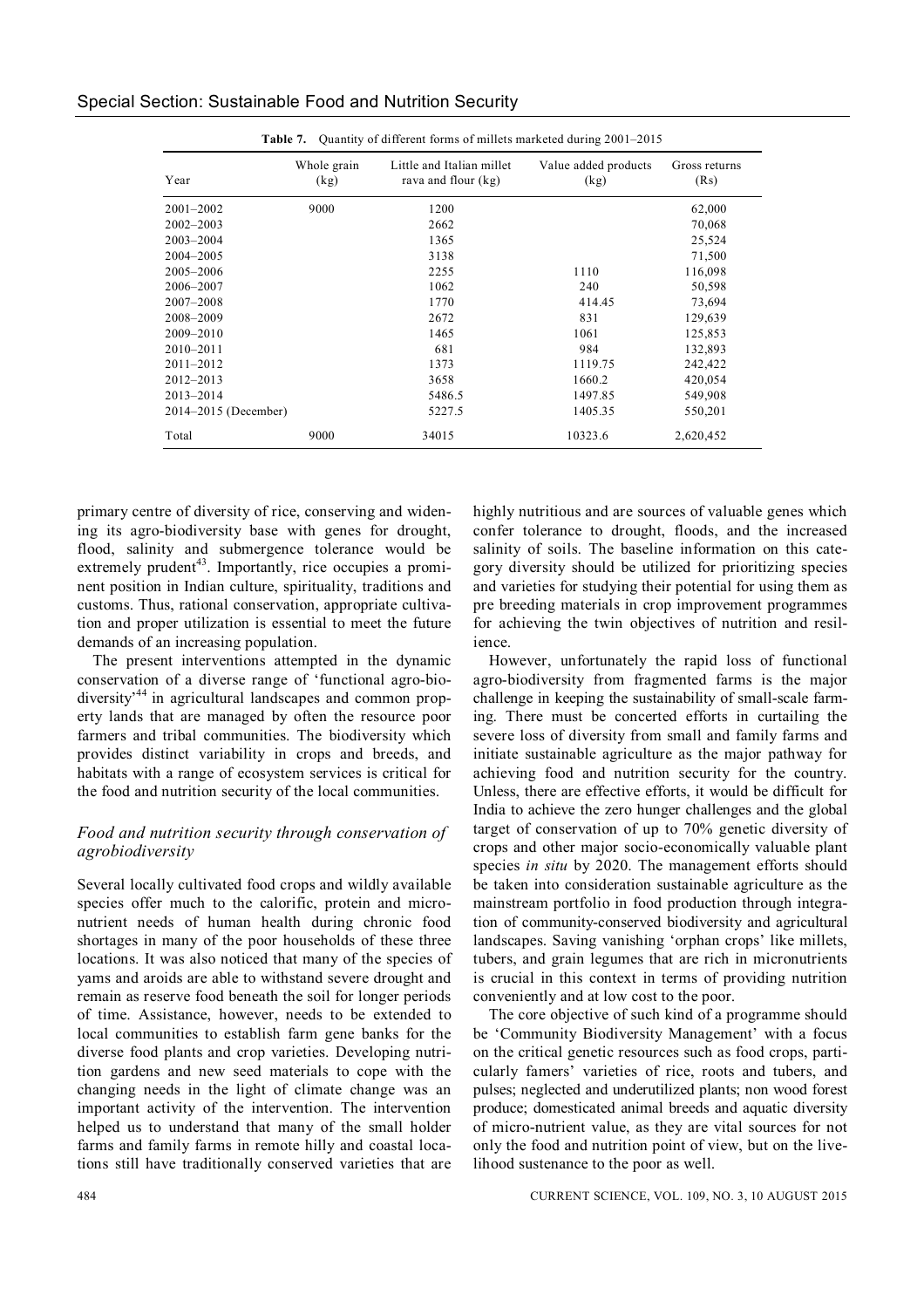| Year          | Whole grain<br>(kg) | Little and Italian millet<br>rava and flour (kg) | Value added products<br>(kg) | Gross returns<br>(Rs) |
|---------------|---------------------|--------------------------------------------------|------------------------------|-----------------------|
| $2001 - 2002$ | 9000                | 1200                                             |                              | 62,000                |
| $2002 - 2003$ |                     | 2662                                             |                              | 70,068                |
| $2003 - 2004$ |                     | 1365                                             |                              | 25,524                |
| 2004-2005     |                     | 3138                                             |                              | 71,500                |
| 2005-2006     |                     | 2255                                             | 1110                         | 116,098               |
| 2006-2007     |                     | 1062                                             | 240                          | 50,598                |

2007–2008 1770 414.45 73,694 2008–2009 2672 831 129,639 2009–2010 1465 1061 125,853 2010–2011 681 984 132,893 2011–2012 1373 1119.75 242,422 2012–2013 3658 1660.2 420,054 2013–2014 5486.5 1497.85 549,908 2014–2015 (December) 5227.5 1405.35 550,201 Total 9000 34015 10323.6 2,620,452

| Special Section: Sustainable Food and Nutrition Security |  |  |  |  |
|----------------------------------------------------------|--|--|--|--|
|----------------------------------------------------------|--|--|--|--|

primary centre of diversity of rice, conserving and widening its agro-biodiversity base with genes for drought, flood, salinity and submergence tolerance would be extremely prudent<sup>43</sup>. Importantly, rice occupies a prominent position in Indian culture, spirituality, traditions and customs. Thus, rational conservation, appropriate cultivation and proper utilization is essential to meet the future demands of an increasing population.

The present interventions attempted in the dynamic conservation of a diverse range of 'functional agro-biodiversity<sup>44</sup> in agricultural landscapes and common property lands that are managed by often the resource poor farmers and tribal communities. The biodiversity which provides distinct variability in crops and breeds, and habitats with a range of ecosystem services is critical for the food and nutrition security of the local communities.

# *Food and nutrition security through conservation of agrobiodiversity*

Several locally cultivated food crops and wildly available species offer much to the calorific, protein and micronutrient needs of human health during chronic food shortages in many of the poor households of these three locations. It was also noticed that many of the species of yams and aroids are able to withstand severe drought and remain as reserve food beneath the soil for longer periods of time. Assistance, however, needs to be extended to local communities to establish farm gene banks for the diverse food plants and crop varieties. Developing nutrition gardens and new seed materials to cope with the changing needs in the light of climate change was an important activity of the intervention. The intervention helped us to understand that many of the small holder farms and family farms in remote hilly and coastal locations still have traditionally conserved varieties that are

highly nutritious and are sources of valuable genes which confer tolerance to drought, floods, and the increased salinity of soils. The baseline information on this category diversity should be utilized for prioritizing species and varieties for studying their potential for using them as pre breeding materials in crop improvement programmes for achieving the twin objectives of nutrition and resilience.

However, unfortunately the rapid loss of functional agro-biodiversity from fragmented farms is the major challenge in keeping the sustainability of small-scale farming. There must be concerted efforts in curtailing the severe loss of diversity from small and family farms and initiate sustainable agriculture as the major pathway for achieving food and nutrition security for the country. Unless, there are effective efforts, it would be difficult for India to achieve the zero hunger challenges and the global target of conservation of up to 70% genetic diversity of crops and other major socio-economically valuable plant species *in situ* by 2020. The management efforts should be taken into consideration sustainable agriculture as the mainstream portfolio in food production through integration of community-conserved biodiversity and agricultural landscapes. Saving vanishing 'orphan crops' like millets, tubers, and grain legumes that are rich in micronutrients is crucial in this context in terms of providing nutrition conveniently and at low cost to the poor.

The core objective of such kind of a programme should be 'Community Biodiversity Management' with a focus on the critical genetic resources such as food crops, particularly famers' varieties of rice, roots and tubers, and pulses; neglected and underutilized plants; non wood forest produce; domesticated animal breeds and aquatic diversity of micro-nutrient value, as they are vital sources for not only the food and nutrition point of view, but on the livelihood sustenance to the poor as well.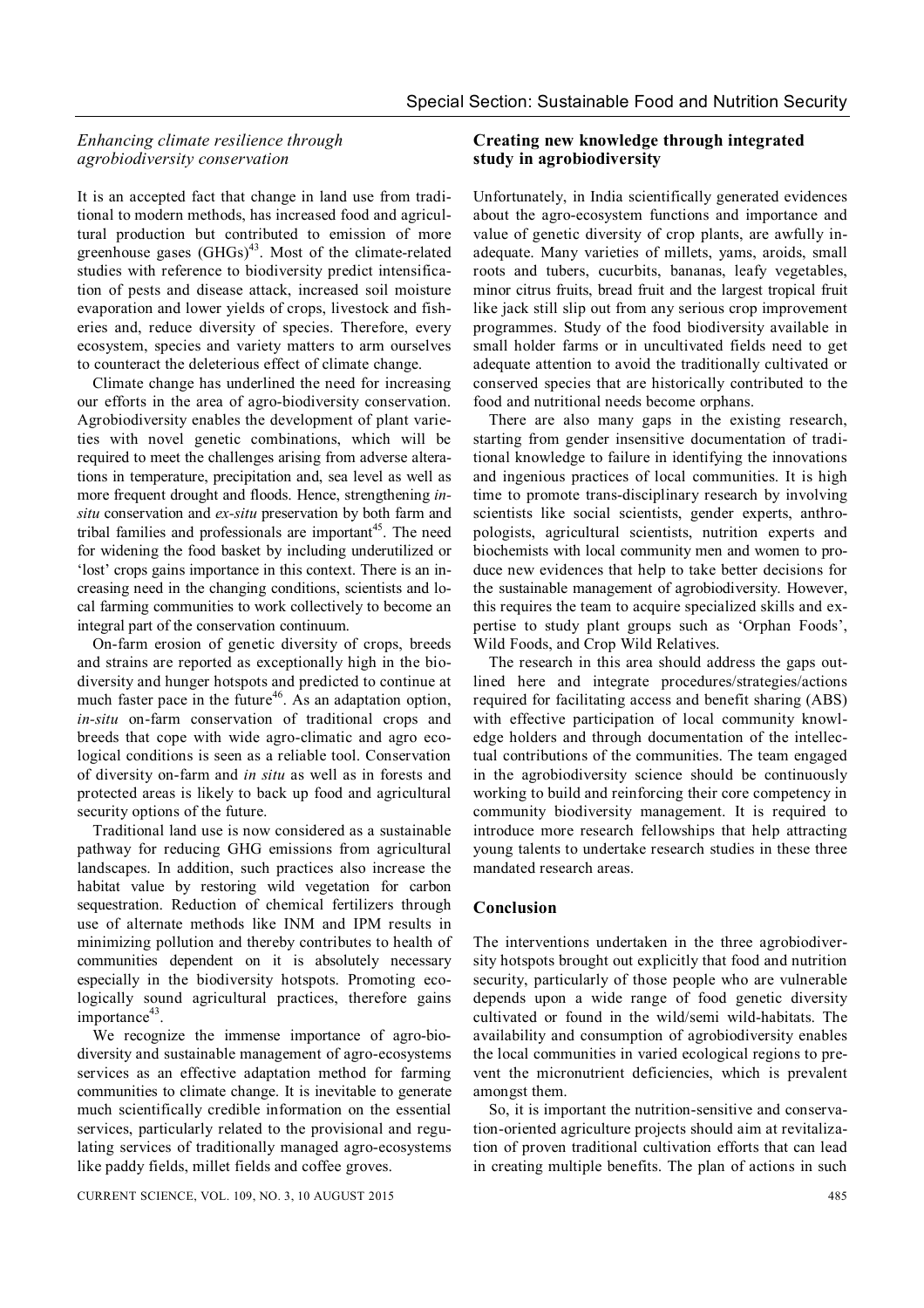# *Enhancing climate resilience through agrobiodiversity conservation*

It is an accepted fact that change in land use from traditional to modern methods, has increased food and agricultural production but contributed to emission of more greenhouse gases  $(GHGs)^{43}$ . Most of the climate-related studies with reference to biodiversity predict intensification of pests and disease attack, increased soil moisture evaporation and lower yields of crops, livestock and fisheries and, reduce diversity of species. Therefore, every ecosystem, species and variety matters to arm ourselves to counteract the deleterious effect of climate change.

Climate change has underlined the need for increasing our efforts in the area of agro-biodiversity conservation. Agrobiodiversity enables the development of plant varieties with novel genetic combinations, which will be required to meet the challenges arising from adverse alterations in temperature, precipitation and, sea level as well as more frequent drought and floods. Hence, strengthening *insitu* conservation and *ex-situ* preservation by both farm and tribal families and professionals are important<sup>45</sup>. The need for widening the food basket by including underutilized or 'lost' crops gains importance in this context. There is an increasing need in the changing conditions, scientists and local farming communities to work collectively to become an integral part of the conservation continuum.

On-farm erosion of genetic diversity of crops, breeds and strains are reported as exceptionally high in the biodiversity and hunger hotspots and predicted to continue at much faster pace in the future<sup>46</sup>. As an adaptation option, *in-situ* on-farm conservation of traditional crops and breeds that cope with wide agro-climatic and agro ecological conditions is seen as a reliable tool. Conservation of diversity on-farm and *in situ* as well as in forests and protected areas is likely to back up food and agricultural security options of the future.

Traditional land use is now considered as a sustainable pathway for reducing GHG emissions from agricultural landscapes. In addition, such practices also increase the habitat value by restoring wild vegetation for carbon sequestration. Reduction of chemical fertilizers through use of alternate methods like INM and IPM results in minimizing pollution and thereby contributes to health of communities dependent on it is absolutely necessary especially in the biodiversity hotspots. Promoting ecologically sound agricultural practices, therefore gains importance<sup>43</sup>.

We recognize the immense importance of agro-biodiversity and sustainable management of agro-ecosystems services as an effective adaptation method for farming communities to climate change. It is inevitable to generate much scientifically credible information on the essential services, particularly related to the provisional and regulating services of traditionally managed agro-ecosystems like paddy fields, millet fields and coffee groves.

#### **Creating new knowledge through integrated study in agrobiodiversity**

Unfortunately, in India scientifically generated evidences about the agro-ecosystem functions and importance and value of genetic diversity of crop plants, are awfully inadequate. Many varieties of millets, yams, aroids, small roots and tubers, cucurbits, bananas, leafy vegetables, minor citrus fruits, bread fruit and the largest tropical fruit like jack still slip out from any serious crop improvement programmes. Study of the food biodiversity available in small holder farms or in uncultivated fields need to get adequate attention to avoid the traditionally cultivated or conserved species that are historically contributed to the food and nutritional needs become orphans.

There are also many gaps in the existing research, starting from gender insensitive documentation of traditional knowledge to failure in identifying the innovations and ingenious practices of local communities. It is high time to promote trans-disciplinary research by involving scientists like social scientists, gender experts, anthropologists, agricultural scientists, nutrition experts and biochemists with local community men and women to produce new evidences that help to take better decisions for the sustainable management of agrobiodiversity. However, this requires the team to acquire specialized skills and expertise to study plant groups such as 'Orphan Foods', Wild Foods, and Crop Wild Relatives.

The research in this area should address the gaps outlined here and integrate procedures/strategies/actions required for facilitating access and benefit sharing (ABS) with effective participation of local community knowledge holders and through documentation of the intellectual contributions of the communities. The team engaged in the agrobiodiversity science should be continuously working to build and reinforcing their core competency in community biodiversity management. It is required to introduce more research fellowships that help attracting young talents to undertake research studies in these three mandated research areas.

#### **Conclusion**

The interventions undertaken in the three agrobiodiversity hotspots brought out explicitly that food and nutrition security, particularly of those people who are vulnerable depends upon a wide range of food genetic diversity cultivated or found in the wild/semi wild-habitats. The availability and consumption of agrobiodiversity enables the local communities in varied ecological regions to prevent the micronutrient deficiencies, which is prevalent amongst them.

So, it is important the nutrition-sensitive and conservation-oriented agriculture projects should aim at revitalization of proven traditional cultivation efforts that can lead in creating multiple benefits. The plan of actions in such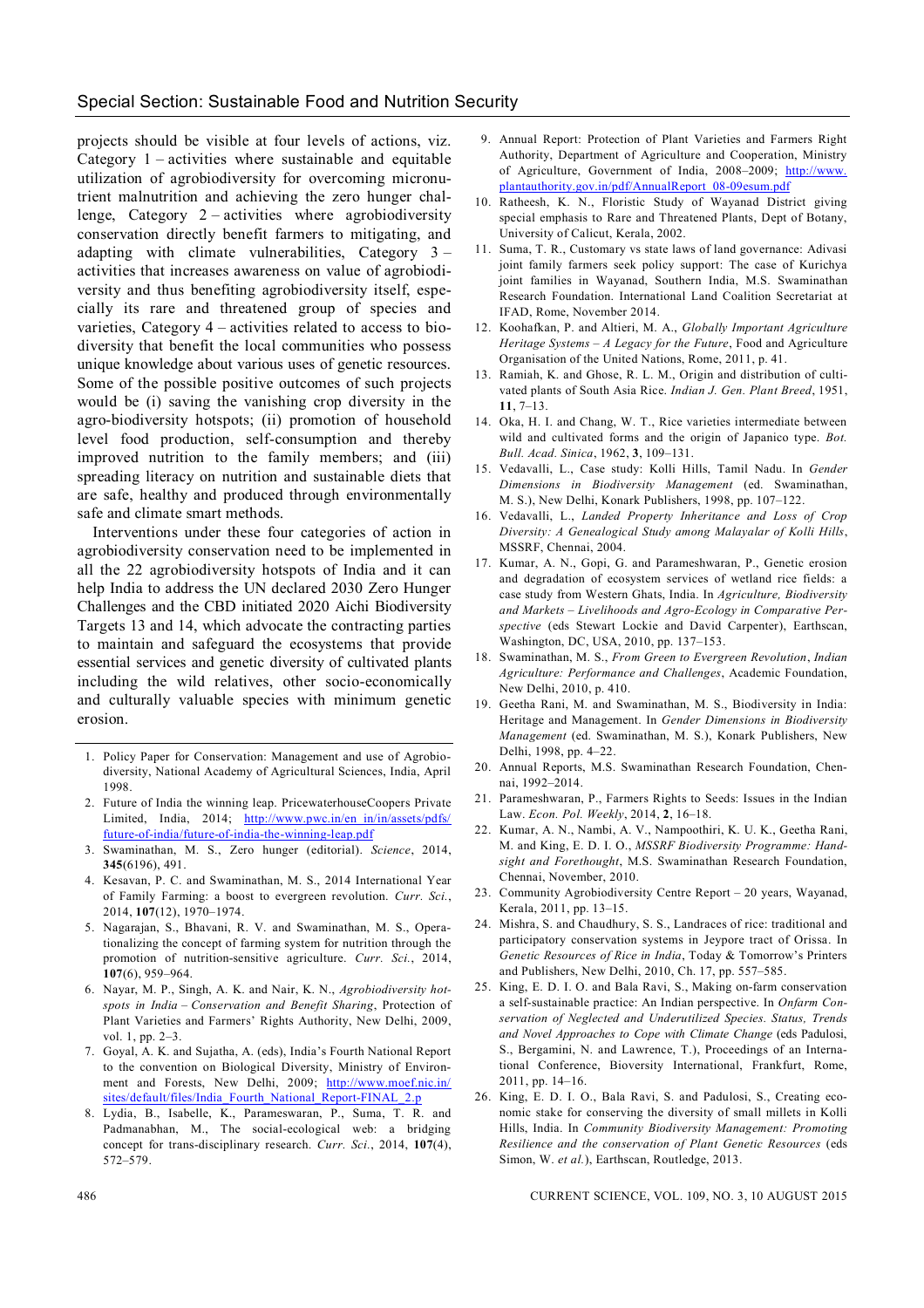#### Special Section: Sustainable Food and Nutrition Security

projects should be visible at four levels of actions, viz. Category 1 – activities where sustainable and equitable utilization of agrobiodiversity for overcoming micronutrient malnutrition and achieving the zero hunger challenge, Category  $2$  – activities where agrobiodiversity conservation directly benefit farmers to mitigating, and adapting with climate vulnerabilities, Category 3 – activities that increases awareness on value of agrobiodiversity and thus benefiting agrobiodiversity itself, especially its rare and threatened group of species and varieties, Category 4 – activities related to access to biodiversity that benefit the local communities who possess unique knowledge about various uses of genetic resources. Some of the possible positive outcomes of such projects would be (i) saving the vanishing crop diversity in the agro-biodiversity hotspots; (ii) promotion of household level food production, self-consumption and thereby improved nutrition to the family members; and (iii) spreading literacy on nutrition and sustainable diets that are safe, healthy and produced through environmentally safe and climate smart methods.

Interventions under these four categories of action in agrobiodiversity conservation need to be implemented in all the 22 agrobiodiversity hotspots of India and it can help India to address the UN declared 2030 Zero Hunger Challenges and the CBD initiated 2020 Aichi Biodiversity Targets 13 and 14, which advocate the contracting parties to maintain and safeguard the ecosystems that provide essential services and genetic diversity of cultivated plants including the wild relatives, other socio-economically and culturally valuable species with minimum genetic erosion.

- 1. Policy Paper for Conservation: Management and use of Agrobiodiversity, National Academy of Agricultural Sciences, India, April 1998.
- 2. Future of India the winning leap. PricewaterhouseCoopers Private Limited, India, 2014; http://www.pwc.in/en\_in/in/assets/pdfs/ future-of-india/future-of-india-the-winning-leap.pdf
- 3. Swaminathan, M. S., Zero hunger (editorial). *Science*, 2014, **345**(6196), 491.
- 4. Kesavan, P. C. and Swaminathan, M. S., 2014 International Year of Family Farming: a boost to evergreen revolution. *Curr. Sci.*, 2014, **107**(12), 1970–1974.
- 5. Nagarajan, S., Bhavani, R. V. and Swaminathan, M. S., Operationalizing the concept of farming system for nutrition through the promotion of nutrition-sensitive agriculture. *Curr. Sci.*, 2014, **107**(6), 959–964.
- 6. Nayar, M. P., Singh, A. K. and Nair, K. N., *Agrobiodiversity hotspots in India – Conservation and Benefit Sharing*, Protection of Plant Varieties and Farmers' Rights Authority, New Delhi, 2009, vol. 1, pp. 2–3.
- 7. Goyal, A. K. and Sujatha, A. (eds), India's Fourth National Report to the convention on Biological Diversity, Ministry of Environment and Forests, New Delhi, 2009; http://www.moef.nic.in/ sites/default/files/India\_Fourth\_National\_Report-FINAL\_2.p
- 8. Lydia, B., Isabelle, K., Parameswaran, P., Suma, T. R. and Padmanabhan, M., The social-ecological web: a bridging concept for trans-disciplinary research. *Curr. Sci.*, 2014, **107**(4), 572–579.
- 9. Annual Report: Protection of Plant Varieties and Farmers Right Authority, Department of Agriculture and Cooperation, Ministry of Agriculture, Government of India, 2008–2009; http://www. plantauthority.gov.in/pdf/AnnualReport\_08-09esum.pdf
- 10. Ratheesh, K. N., Floristic Study of Wayanad District giving special emphasis to Rare and Threatened Plants, Dept of Botany, University of Calicut, Kerala, 2002.
- 11. Suma, T. R., Customary vs state laws of land governance: Adivasi joint family farmers seek policy support: The case of Kurichya joint families in Wayanad, Southern India, M.S. Swaminathan Research Foundation. International Land Coalition Secretariat at IFAD, Rome, November 2014.
- 12. Koohafkan, P. and Altieri, M. A., *Globally Important Agriculture Heritage Systems – A Legacy for the Future*, Food and Agriculture Organisation of the United Nations, Rome, 2011, p. 41.
- 13. Ramiah, K. and Ghose, R. L. M., Origin and distribution of cultivated plants of South Asia Rice. *Indian J. Gen. Plant Breed*, 1951, **11**, 7–13.
- 14. Oka, H. I. and Chang, W. T., Rice varieties intermediate between wild and cultivated forms and the origin of Japanico type. *Bot. Bull. Acad. Sinica*, 1962, **3**, 109–131.
- 15. Vedavalli, L., Case study: Kolli Hills, Tamil Nadu. In *Gender Dimensions in Biodiversity Management* (ed. Swaminathan, M. S.), New Delhi, Konark Publishers, 1998, pp. 107–122.
- 16. Vedavalli, L., *Landed Property Inheritance and Loss of Crop Diversity: A Genealogical Study among Malayalar of Kolli Hills*, MSSRF, Chennai, 2004.
- 17. Kumar, A. N., Gopi, G. and Parameshwaran, P., Genetic erosion and degradation of ecosystem services of wetland rice fields: a case study from Western Ghats, India. In *Agriculture, Biodiversity and Markets – Livelihoods and Agro-Ecology in Comparative Perspective* (eds Stewart Lockie and David Carpenter), Earthscan, Washington, DC, USA, 2010, pp. 137–153.
- 18. Swaminathan, M. S., *From Green to Evergreen Revolution*, *Indian Agriculture: Performance and Challenges*, Academic Foundation, New Delhi, 2010, p. 410.
- 19. Geetha Rani, M. and Swaminathan, M. S., Biodiversity in India: Heritage and Management. In *Gender Dimensions in Biodiversity Management* (ed. Swaminathan, M. S.), Konark Publishers, New Delhi, 1998, pp. 4–22.
- 20. Annual Reports, M.S. Swaminathan Research Foundation, Chennai, 1992–2014.
- 21. Parameshwaran, P., Farmers Rights to Seeds: Issues in the Indian Law. *Econ. Pol. Weekly*, 2014, **2**, 16–18.
- 22. Kumar, A. N., Nambi, A. V., Nampoothiri, K. U. K., Geetha Rani, M. and King, E. D. I. O., *MSSRF Biodiversity Programme: Handsight and Forethought*, M.S. Swaminathan Research Foundation, Chennai, November, 2010.
- 23. Community Agrobiodiversity Centre Report 20 years, Wayanad, Kerala, 2011, pp. 13–15.
- 24. Mishra, S. and Chaudhury, S. S., Landraces of rice: traditional and participatory conservation systems in Jeypore tract of Orissa. In *Genetic Resources of Rice in India*, Today & Tomorrow's Printers and Publishers, New Delhi, 2010, Ch. 17, pp. 557–585.
- 25. King, E. D. I. O. and Bala Ravi, S., Making on-farm conservation a self-sustainable practice: An Indian perspective. In *Onfarm Conservation of Neglected and Underutilized Species. Status, Trends and Novel Approaches to Cope with Climate Change* (eds Padulosi, S., Bergamini, N. and Lawrence, T.), Proceedings of an International Conference, Bioversity International, Frankfurt, Rome, 2011, pp. 14–16.
- 26. King, E. D. I. O., Bala Ravi, S. and Padulosi, S., Creating economic stake for conserving the diversity of small millets in Kolli Hills, India. In *Community Biodiversity Management: Promoting Resilience and the conservation of Plant Genetic Resources* (eds Simon, W. *et al.*), Earthscan, Routledge, 2013.